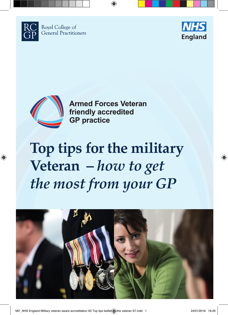

⊕

Royal College of **General Practitioners** 





**Armed Forces Veteran** friendly accredited **GP** practice

↔

## **Top tips for the military Veteran –** *how to get the most from your GP*



 $\bigoplus$